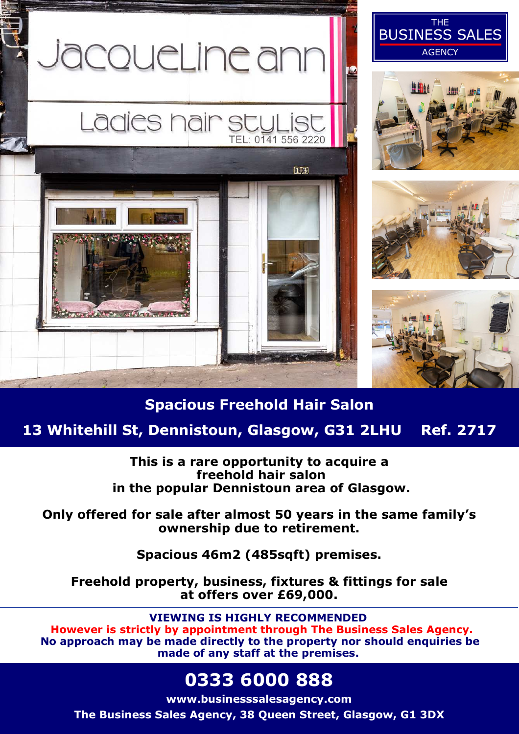

# **Spacious Freehold Hair Salon**

**13 Whitehill St, Dennistoun, Glasgow, G31 2LHU Ref. 2717** 

**This is a rare opportunity to acquire a freehold hair salon in the popular Dennistoun area of Glasgow.** 

**Only offered for sale after almost 50 years in the same family's ownership due to retirement.** 

**Spacious 46m2 (485sqft) premises.** 

**Freehold property, business, fixtures & fittings for sale at offers over £69,000.** 

**VIEWING IS HIGHLY RECOMMENDED However is strictly by appointment through The Business Sales Agency. No approach may be made directly to the property nor should enquiries be made of any staff at the premises.** 

# **0333 6000 888**

**www.businesssalesagency.com The Business Sales Agency, 38 Queen Street, Glasgow, G1 3DX**